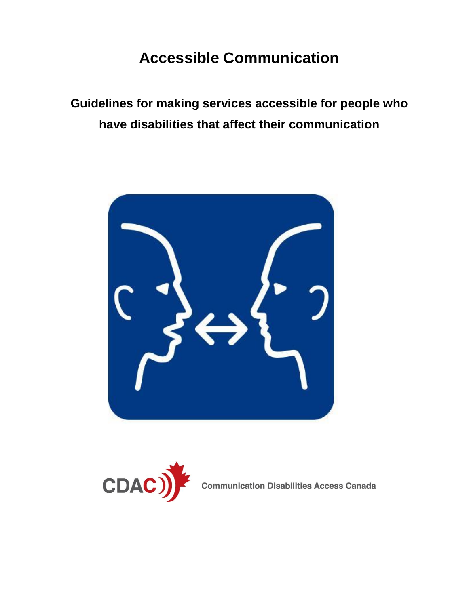# **Accessible Communication**

**Guidelines for making services accessible for people who have disabilities that affect their communication** 





**Communication Disabilities Access Canada**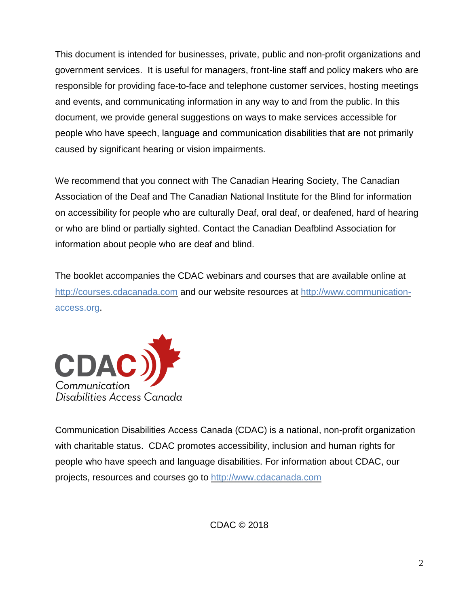This document is intended for businesses, private, public and non-profit organizations and government services. It is useful for managers, front-line staff and policy makers who are responsible for providing face-to-face and telephone customer services, hosting meetings and events, and communicating information in any way to and from the public. In this document, we provide general suggestions on ways to make services accessible for people who have speech, language and communication disabilities that are not primarily caused by significant hearing or vision impairments.

We recommend that you connect with The Canadian Hearing Society, The Canadian Association of the Deaf and The Canadian National Institute for the Blind for information on accessibility for people who are culturally Deaf, oral deaf, or deafened, hard of hearing or who are blind or partially sighted. Contact the Canadian Deafblind Association for information about people who are deaf and blind.

The booklet accompanies the CDAC webinars and courses that are available online at [http://courses.cdacanada.com](http://courses.cdacanada.com/) and our website resources at [http://www.communication](http://www.communication-access.org/)[access.org.](http://www.communication-access.org/)



Communication Disabilities Access Canada (CDAC) is a national, non-profit organization with charitable status. CDAC promotes accessibility, inclusion and human rights for people who have speech and language disabilities. For information about CDAC, our projects, resources and courses go to [http://www.cdacanada.com](http://www.cdacanada.com/)

CDAC © 2018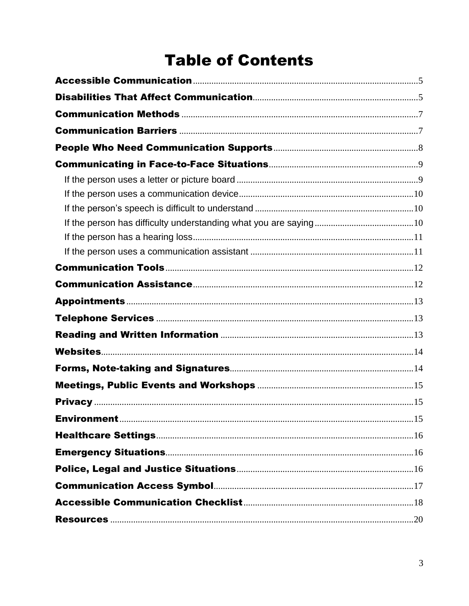# **Table of Contents**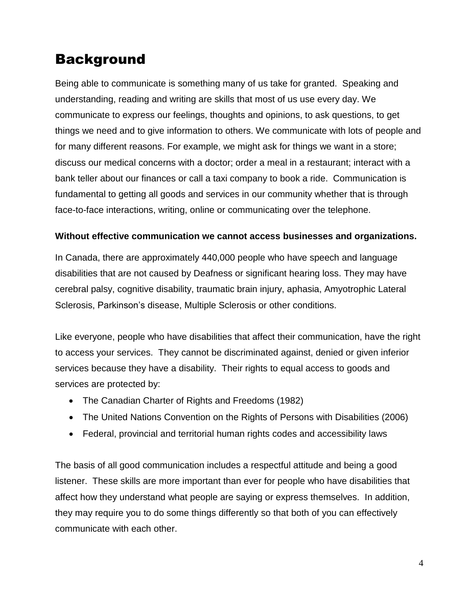## Background

Being able to communicate is something many of us take for granted. Speaking and understanding, reading and writing are skills that most of us use every day. We communicate to express our feelings, thoughts and opinions, to ask questions, to get things we need and to give information to others. We communicate with lots of people and for many different reasons. For example, we might ask for things we want in a store; discuss our medical concerns with a doctor; order a meal in a restaurant; interact with a bank teller about our finances or call a taxi company to book a ride. Communication is fundamental to getting all goods and services in our community whether that is through face-to-face interactions, writing, online or communicating over the telephone.

#### **Without effective communication we cannot access businesses and organizations.**

In Canada, there are approximately 440,000 people who have speech and language disabilities that are not caused by Deafness or significant hearing loss. They may have cerebral palsy, cognitive disability, traumatic brain injury, aphasia, Amyotrophic Lateral Sclerosis, Parkinson's disease, Multiple Sclerosis or other conditions.

Like everyone, people who have disabilities that affect their communication, have the right to access your services. They cannot be discriminated against, denied or given inferior services because they have a disability. Their rights to equal access to goods and services are protected by:

- The Canadian Charter of Rights and Freedoms (1982)
- The United Nations Convention on the Rights of Persons with Disabilities (2006)
- Federal, provincial and territorial human rights codes and accessibility laws

The basis of all good communication includes a respectful attitude and being a good listener. These skills are more important than ever for people who have disabilities that affect how they understand what people are saying or express themselves. In addition, they may require you to do some things differently so that both of you can effectively communicate with each other.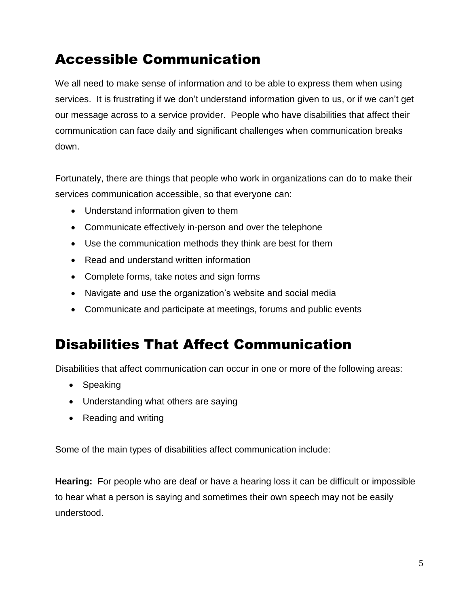# <span id="page-4-0"></span>Accessible Communication

We all need to make sense of information and to be able to express them when using services. It is frustrating if we don't understand information given to us, or if we can't get our message across to a service provider. People who have disabilities that affect their communication can face daily and significant challenges when communication breaks down.

Fortunately, there are things that people who work in organizations can do to make their services communication accessible, so that everyone can:

- Understand information given to them
- Communicate effectively in-person and over the telephone
- Use the communication methods they think are best for them
- Read and understand written information
- Complete forms, take notes and sign forms
- Navigate and use the organization's website and social media
- Communicate and participate at meetings, forums and public events

## <span id="page-4-1"></span>Disabilities That Affect Communication

Disabilities that affect communication can occur in one or more of the following areas:

- Speaking
- Understanding what others are saying
- Reading and writing

Some of the main types of disabilities affect communication include:

**Hearing:** For people who are deaf or have a hearing loss it can be difficult or impossible to hear what a person is saying and sometimes their own speech may not be easily understood.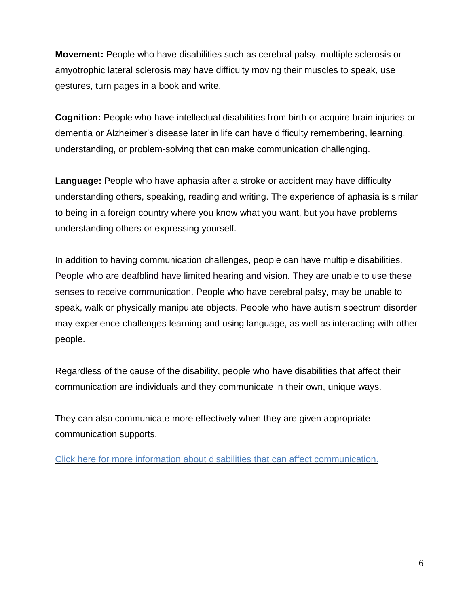**Movement:** People who have disabilities such as cerebral palsy, multiple sclerosis or amyotrophic lateral sclerosis may have difficulty moving their muscles to speak, use gestures, turn pages in a book and write.

**Cognition:** People who have intellectual disabilities from birth or acquire brain injuries or dementia or Alzheimer's disease later in life can have difficulty remembering, learning, understanding, or problem-solving that can make communication challenging.

**Language:** People who have aphasia after a stroke or accident may have difficulty understanding others, speaking, reading and writing. The experience of aphasia is similar to being in a foreign country where you know what you want, but you have problems understanding others or expressing yourself.

In addition to having communication challenges, people can have multiple disabilities. People who are deafblind have limited hearing and vision. They are unable to use these senses to receive communication. People who have cerebral palsy, may be unable to speak, walk or physically manipulate objects. People who have autism spectrum disorder may experience challenges learning and using language, as well as interacting with other people.

Regardless of the cause of the disability, people who have disabilities that affect their communication are individuals and they communicate in their own, unique ways.

They can also communicate more effectively when they are given appropriate communication supports.

Click here for more information about disabilities that can affect [communication.](http://www.communication-access.org/wp-content/uploads/2018/11/Disabilities-That-May-Affect-Communication.pdf)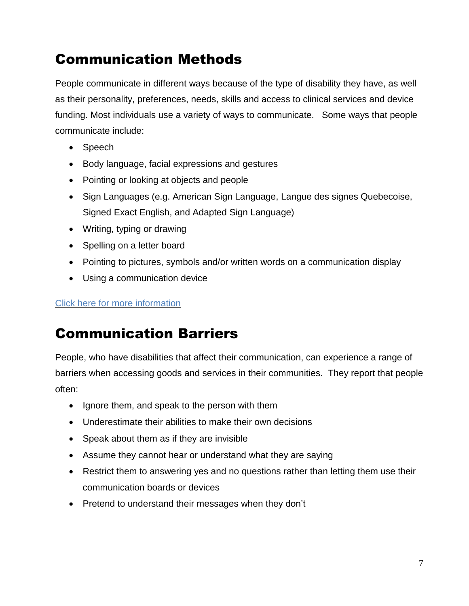# <span id="page-6-0"></span>Communication Methods

People communicate in different ways because of the type of disability they have, as well as their personality, preferences, needs, skills and access to clinical services and device funding. Most individuals use a variety of ways to communicate. Some ways that people communicate include:

- Speech
- Body language, facial expressions and gestures
- Pointing or looking at objects and people
- Sign Languages (e.g. American Sign Language, Langue des signes Quebecoise, Signed Exact English, and Adapted Sign Language)
- Writing, typing or drawing
- Spelling on a letter board
- Pointing to pictures, symbols and/or written words on a communication display
- Using a communication device

### Click here for more [information](http://www.communication-access.org/communication-access/communication-profiles/)

## <span id="page-6-1"></span>Communication Barriers

People, who have disabilities that affect their communication, can experience a range of barriers when accessing goods and services in their communities. They report that people often:

- Ignore them, and speak to the person with them
- Underestimate their abilities to make their own decisions
- Speak about them as if they are invisible
- Assume they cannot hear or understand what they are saying
- Restrict them to answering yes and no questions rather than letting them use their communication boards or devices
- Pretend to understand their messages when they don't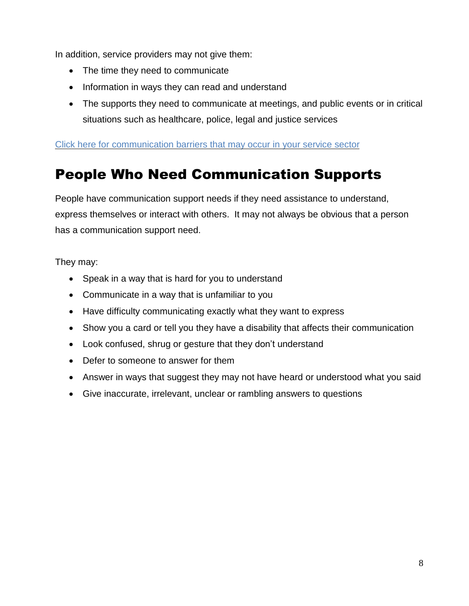In addition, service providers may not give them:

- The time they need to communicate
- Information in ways they can read and understand
- The supports they need to communicate at meetings, and public events or in critical situations such as healthcare, police, legal and justice services

Click here for [communication](http://www.communication-access.org/make-your-service-accessible/) barriers that may occur in your service sector

## <span id="page-7-0"></span>People Who Need Communication Supports

People have communication support needs if they need assistance to understand, express themselves or interact with others. It may not always be obvious that a person has a communication support need.

They may:

- Speak in a way that is hard for you to understand
- Communicate in a way that is unfamiliar to you
- Have difficulty communicating exactly what they want to express
- Show you a card or tell you they have a disability that affects their communication
- Look confused, shrug or gesture that they don't understand
- Defer to someone to answer for them
- Answer in ways that suggest they may not have heard or understood what you said
- Give inaccurate, irrelevant, unclear or rambling answers to questions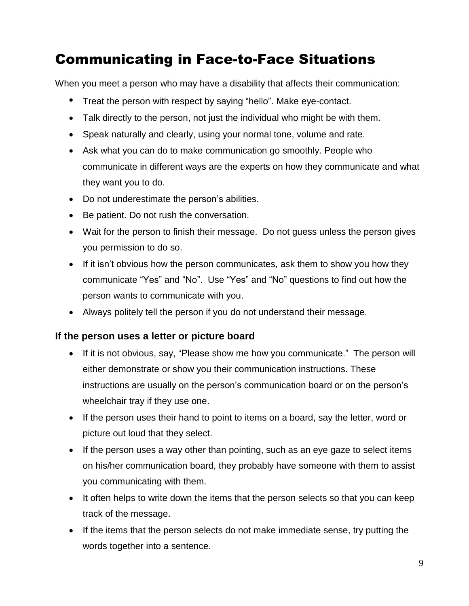# <span id="page-8-0"></span>Communicating in Face-to-Face Situations

When you meet a person who may have a disability that affects their communication:

- Treat the person with respect by saying "hello". Make eye-contact.
- Talk directly to the person, not just the individual who might be with them.
- Speak naturally and clearly, using your normal tone, volume and rate.
- Ask what you can do to make communication go smoothly. People who communicate in different ways are the experts on how they communicate and what they want you to do.
- Do not underestimate the person's abilities.
- Be patient. Do not rush the conversation.
- Wait for the person to finish their message. Do not guess unless the person gives you permission to do so.
- If it isn't obvious how the person communicates, ask them to show you how they communicate "Yes" and "No". Use "Yes" and "No" questions to find out how the person wants to communicate with you.
- Always politely tell the person if you do not understand their message.

### <span id="page-8-1"></span>**If the person uses a letter or picture board**

- If it is not obvious, say, "Please show me how you communicate." The person will either demonstrate or show you their communication instructions. These instructions are usually on the person's communication board or on the person's wheelchair tray if they use one.
- If the person uses their hand to point to items on a board, say the letter, word or picture out loud that they select.
- If the person uses a way other than pointing, such as an eye gaze to select items on his/her communication board, they probably have someone with them to assist you communicating with them.
- It often helps to write down the items that the person selects so that you can keep track of the message.
- If the items that the person selects do not make immediate sense, try putting the words together into a sentence.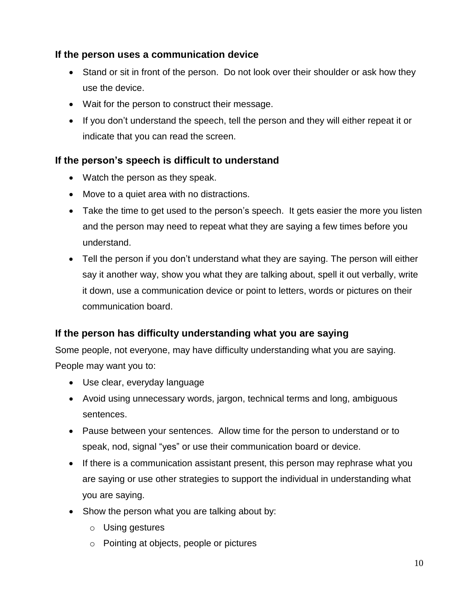### <span id="page-9-0"></span>**If the person uses a communication device**

- Stand or sit in front of the person. Do not look over their shoulder or ask how they use the device.
- Wait for the person to construct their message.
- If you don't understand the speech, tell the person and they will either repeat it or indicate that you can read the screen.

### <span id="page-9-1"></span>**If the person's speech is difficult to understand**

- Watch the person as they speak.
- Move to a quiet area with no distractions.
- Take the time to get used to the person's speech. It gets easier the more you listen and the person may need to repeat what they are saying a few times before you understand.
- Tell the person if you don't understand what they are saying. The person will either say it another way, show you what they are talking about, spell it out verbally, write it down, use a communication device or point to letters, words or pictures on their communication board.

### <span id="page-9-2"></span>**If the person has difficulty understanding what you are saying**

Some people, not everyone, may have difficulty understanding what you are saying. People may want you to:

- Use clear, everyday language
- Avoid using unnecessary words, jargon, technical terms and long, ambiguous sentences.
- Pause between your sentences. Allow time for the person to understand or to speak, nod, signal "yes" or use their communication board or device.
- If there is a communication assistant present, this person may rephrase what you are saying or use other strategies to support the individual in understanding what you are saying.
- Show the person what you are talking about by:
	- o Using gestures
	- o Pointing at objects, people or pictures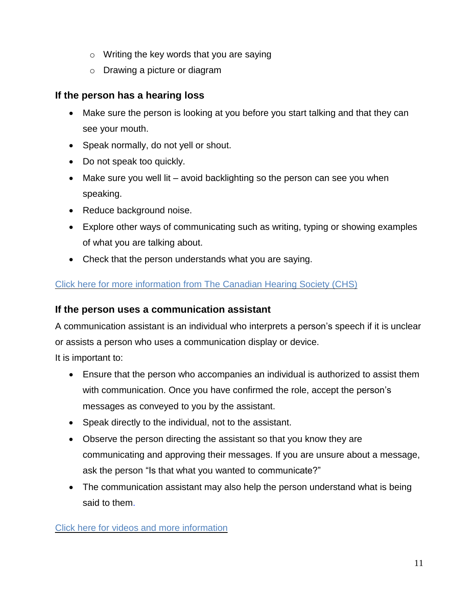- o Writing the key words that you are saying
- o Drawing a picture or diagram

### <span id="page-10-0"></span>**If the person has a hearing loss**

- Make sure the person is looking at you before you start talking and that they can see your mouth.
- Speak normally, do not yell or shout.
- Do not speak too quickly.
- Make sure you well lit avoid backlighting so the person can see you when speaking.
- Reduce background noise.
- Explore other ways of communicating such as writing, typing or showing examples of what you are talking about.
- Check that the person understands what you are saying.

### [Click here for more information from The Canadian Hearing Society \(CHS\)](https://www.chs.ca/)

### <span id="page-10-1"></span>**If the person uses a communication assistant**

A communication assistant is an individual who interprets a person's speech if it is unclear or assists a person who uses a communication display or device.

It is important to:

- Ensure that the person who accompanies an individual is authorized to assist them with communication. Once you have confirmed the role, accept the person's messages as conveyed to you by the assistant.
- Speak directly to the individual, not to the assistant.
- Observe the person directing the assistant so that you know they are communicating and approving their messages. If you are unsure about a message, ask the person "Is that what you wanted to communicate?"
- The communication assistant may also help the person understand what is being said to them.

[Click here for videos and more information](http://www.communication-access.org/make-your-service-accessible/make-your-services-accessible/communicating/)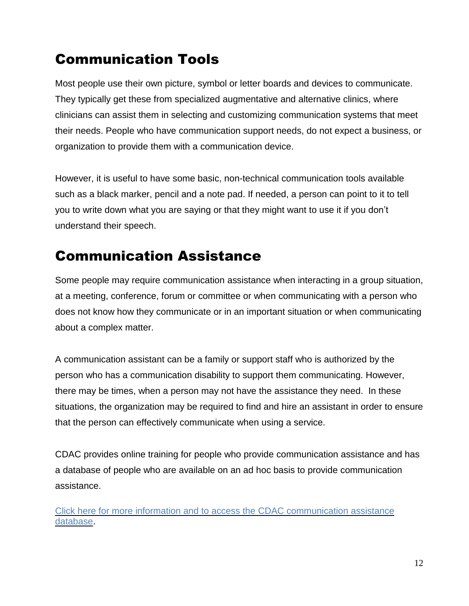# <span id="page-11-0"></span>Communication Tools

Most people use their own picture, symbol or letter boards and devices to communicate. They typically get these from specialized augmentative and alternative clinics, where clinicians can assist them in selecting and customizing communication systems that meet their needs. People who have communication support needs, do not expect a business, or organization to provide them with a communication device.

However, it is useful to have some basic, non-technical communication tools available such as a black marker, pencil and a note pad. If needed, a person can point to it to tell you to write down what you are saying or that they might want to use it if you don't understand their speech.

## <span id="page-11-1"></span>Communication Assistance

Some people may require communication assistance when interacting in a group situation, at a meeting, conference, forum or committee or when communicating with a person who does not know how they communicate or in an important situation or when communicating about a complex matter.

A communication assistant can be a family or support staff who is authorized by the person who has a communication disability to support them communicating. However, there may be times, when a person may not have the assistance they need. In these situations, the organization may be required to find and hire an assistant in order to ensure that the person can effectively communicate when using a service.

CDAC provides online training for people who provide communication assistance and has a database of people who are available on an ad hoc basis to provide communication assistance.

Click here for more information and [to access the CDAC communication assistance](http://www.cdacanada.com/communication-assistance-database/)  [database.](http://www.cdacanada.com/communication-assistance-database/)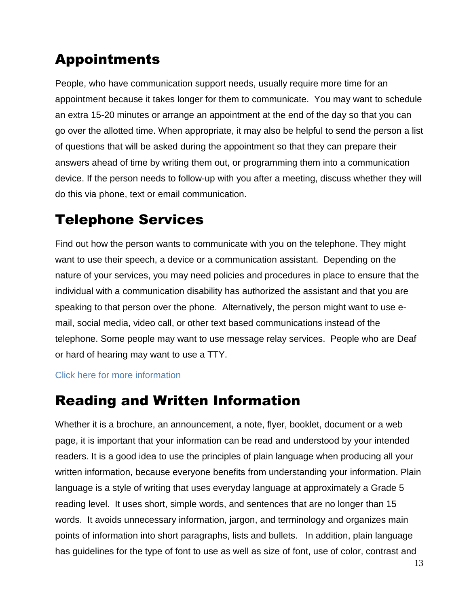# <span id="page-12-0"></span>Appointments

People, who have communication support needs, usually require more time for an appointment because it takes longer for them to communicate. You may want to schedule an extra 15-20 minutes or arrange an appointment at the end of the day so that you can go over the allotted time. When appropriate, it may also be helpful to send the person a list of questions that will be asked during the appointment so that they can prepare their answers ahead of time by writing them out, or programming them into a communication device. If the person needs to follow-up with you after a meeting, discuss whether they will do this via phone, text or email communication.

## <span id="page-12-1"></span>Telephone Services

Find out how the person wants to communicate with you on the telephone. They might want to use their speech, a device or a communication assistant. Depending on the nature of your services, you may need policies and procedures in place to ensure that the individual with a communication disability has authorized the assistant and that you are speaking to that person over the phone. Alternatively, the person might want to use email, social media, video call, or other text based communications instead of the telephone. Some people may want to use message relay services. People who are Deaf or hard of hearing may want to use a TTY.

### [Click here for more information](http://www.communication-access.org/make-your-service-accessible/make-your-services-accessible/telephone-communication/)

## <span id="page-12-2"></span>Reading and Written Information

Whether it is a brochure, an announcement, a note, flyer, booklet, document or a web page, it is important that your information can be read and understood by your intended readers. It is a good idea to use the principles of plain language when producing all your written information, because everyone benefits from understanding your information. Plain language is a style of writing that uses everyday language at approximately a Grade 5 reading level. It uses short, simple words, and sentences that are no longer than 15 words. It avoids unnecessary information, jargon, and terminology and organizes main points of information into short paragraphs, lists and bullets. In addition, plain language has guidelines for the type of font to use as well as size of font, use of color, contrast and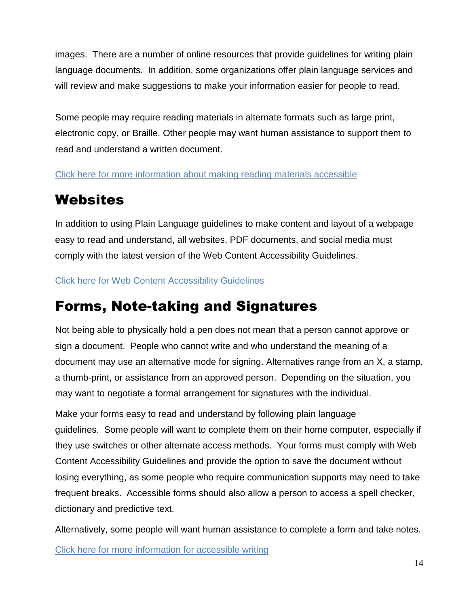images. There are a number of online resources that provide guidelines for writing plain language documents. In addition, some organizations offer plain language services and will review and make suggestions to make your information easier for people to read.

Some people may require reading materials in alternate formats such as large print, electronic copy, or Braille. Other people may want human assistance to support them to read and understand a written document.

[Click here for more information about making reading materials accessible](http://www.communication-access.org/make-your-service-accessible/make-your-services-accessible/print-text-and-e-communications/)

# <span id="page-13-0"></span>**Websites**

In addition to using Plain Language guidelines to make content and layout of a webpage easy to read and understand, all websites, PDF documents, and social media must comply with the latest version of the Web Content Accessibility Guidelines.

[Click here for Web Content Accessibility Guidelines](https://www.w3.org/WAI/WCAG21/quickref)

# <span id="page-13-1"></span>Forms, Note-taking and Signatures

Not being able to physically hold a pen does not mean that a person cannot approve or sign a document. People who cannot write and who understand the meaning of a document may use an alternative mode for signing. Alternatives range from an X, a stamp, a thumb-print, or assistance from an approved person. Depending on the situation, you may want to negotiate a formal arrangement for signatures with the individual.

Make your forms easy to read and understand by following plain language guidelines. Some people will want to complete them on their home computer, especially if they use switches or other alternate access methods. Your forms must comply with Web Content Accessibility Guidelines and provide the option to save the document without losing everything, as some people who require communication supports may need to take frequent breaks. Accessible forms should also allow a person to access a spell checker, dictionary and predictive text.

Alternatively, some people will want human assistance to complete a form and take notes.

[Click here for more information for accessible writing](http://www.communication-access.org/make-your-service-accessible/make-your-services-accessible/forms-note-taking-and-signatures/)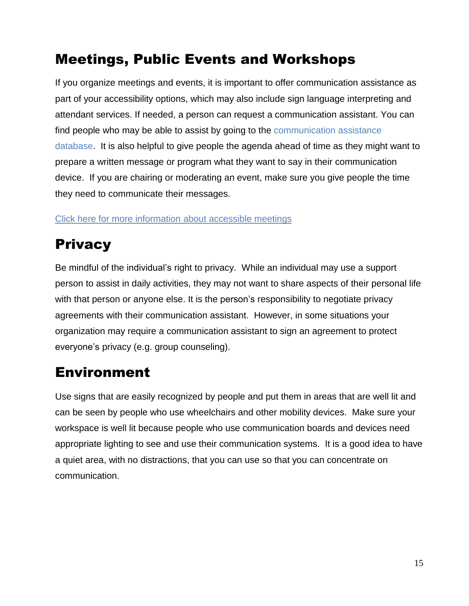# <span id="page-14-0"></span>Meetings, Public Events and Workshops

If you organize meetings and events, it is important to offer communication assistance as part of your accessibility options, which may also include sign language interpreting and attendant services. If needed, a person can request a communication assistant. You can find people who may be able to assist by going to the [communication](http://www.cdacanada.com/communication-assistance-database/) assistance [database.](http://www.cdacanada.com/communication-assistance-database/) It is also helpful to give people the agenda ahead of time as they might want to prepare a written message or program what they want to say in their communication device. If you are chairing or moderating an event, make sure you give people the time they need to communicate their messages.

Click here for more [information](http://www.communication-access.org/make-your-service-accessible/make-your-services-accessible/forms-note-taking-and-signatures/) about accessible meetings

# <span id="page-14-1"></span>**Privacy**

Be mindful of the individual's right to privacy. While an individual may use a support person to assist in daily activities, they may not want to share aspects of their personal life with that person or anyone else. It is the person's responsibility to negotiate privacy agreements with their communication assistant. However, in some situations your organization may require a communication assistant to sign an agreement to protect everyone's privacy (e.g. group counseling).

# <span id="page-14-2"></span>Environment

Use signs that are easily recognized by people and put them in areas that are well lit and can be seen by people who use wheelchairs and other mobility devices. Make sure your workspace is well lit because people who use communication boards and devices need appropriate lighting to see and use their communication systems. It is a good idea to have a quiet area, with no distractions, that you can use so that you can concentrate on communication.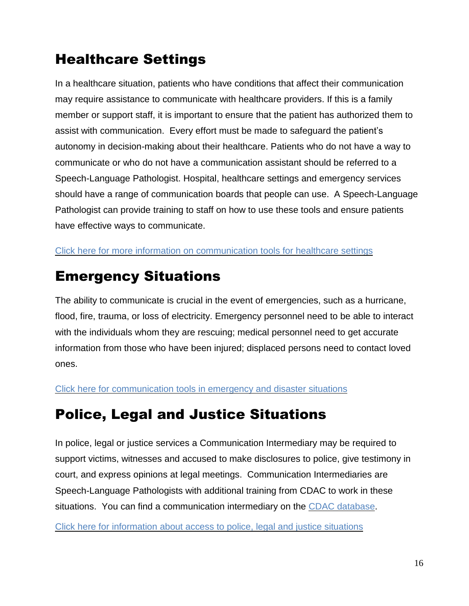# <span id="page-15-0"></span>Healthcare Settings

In a healthcare situation, patients who have conditions that affect their communication may require assistance to communicate with healthcare providers. If this is a family member or support staff, it is important to ensure that the patient has authorized them to assist with communication. Every effort must be made to safeguard the patient's autonomy in decision-making about their healthcare. Patients who do not have a way to communicate or who do not have a communication assistant should be referred to a Speech-Language Pathologist. Hospital, healthcare settings and emergency services should have a range of communication boards that people can use. A Speech-Language Pathologist can provide training to staff on how to use these tools and ensure patients have effective ways to communicate.

Click here for more information on [communication](http://www.patientprovidercommunication.org/communication_tools.htm) tools for healthcare settings

# <span id="page-15-1"></span>Emergency Situations

The ability to communicate is crucial in the event of emergencies, such as a hurricane, flood, fire, trauma, or loss of electricity. Emergency personnel need to be able to interact with the individuals whom they are rescuing; medical personnel need to get accurate information from those who have been injured; displaced persons need to contact loved ones.

Click here for [communication](http://www.patientprovidercommunication.org/article_32.htm) tools in emergency and disaster situations

# <span id="page-15-2"></span>Police, Legal and Justice Situations

In police, legal or justice services a Communication Intermediary may be required to support victims, witnesses and accused to make disclosures to police, give testimony in court, and express opinions at legal meetings. Communication Intermediaries are Speech-Language Pathologists with additional training from CDAC to work in these situations. You can find a communication intermediary on the CDAC [database.](http://www.cdacanada.com/communication-assistance-database/)

Click here for [information](http://www.access-to-justice.org/) about access to police, legal and justice situations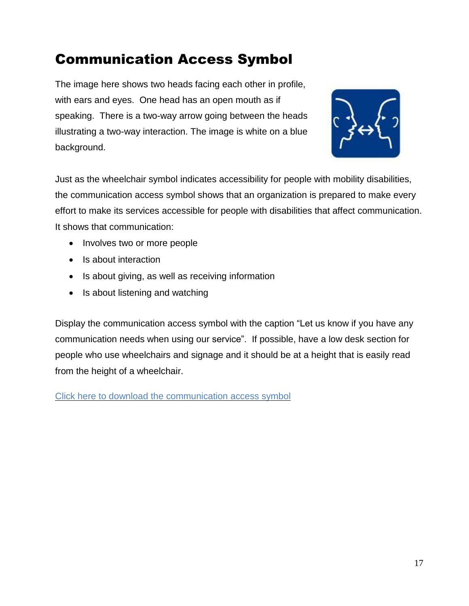# <span id="page-16-0"></span>Communication Access Symbol

The image here shows two heads facing each other in profile, with ears and eyes. One head has an open mouth as if speaking. There is a two-way arrow going between the heads illustrating a two-way interaction. The image is white on a blue background.



Just as the wheelchair symbol indicates accessibility for people with mobility disabilities, the communication access symbol shows that an organization is prepared to make every effort to make its services accessible for people with disabilities that affect communication. It shows that communication:

- Involves two or more people
- Is about interaction
- Is about giving, as well as receiving information
- Is about listening and watching

Display the communication access symbol with the caption "Let us know if you have any communication needs when using our service". If possible, have a low desk section for people who use wheelchairs and signage and it should be at a height that is easily read from the height of a wheelchair.

Click here to download the [communication](http://www.communication-access.org/resources/symbol/) access symbol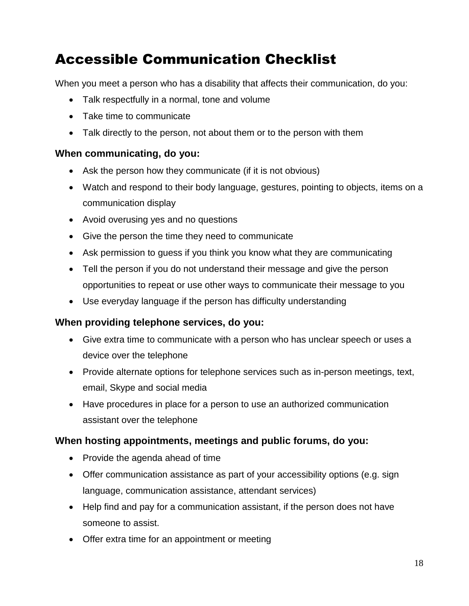# <span id="page-17-0"></span>Accessible Communication Checklist

When you meet a person who has a disability that affects their communication, do you:

- Talk respectfully in a normal, tone and volume
- Take time to communicate
- Talk directly to the person, not about them or to the person with them

#### **When communicating, do you:**

- Ask the person how they communicate (if it is not obvious)
- Watch and respond to their body language, gestures, pointing to objects, items on a communication display
- Avoid overusing yes and no questions
- Give the person the time they need to communicate
- Ask permission to guess if you think you know what they are communicating
- Tell the person if you do not understand their message and give the person opportunities to repeat or use other ways to communicate their message to you
- Use everyday language if the person has difficulty understanding

#### **When providing telephone services, do you:**

- Give extra time to communicate with a person who has unclear speech or uses a device over the telephone
- Provide alternate options for telephone services such as in-person meetings, text, email, Skype and social media
- Have procedures in place for a person to use an authorized communication assistant over the telephone

#### **When hosting appointments, meetings and public forums, do you:**

- Provide the agenda ahead of time
- Offer communication assistance as part of your accessibility options (e.g. sign language, communication assistance, attendant services)
- Help find and pay for a communication assistant, if the person does not have someone to assist.
- Offer extra time for an appointment or meeting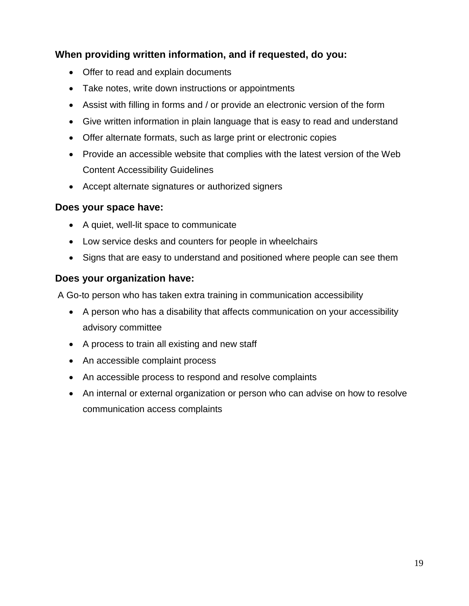### **When providing written information, and if requested, do you:**

- Offer to read and explain documents
- Take notes, write down instructions or appointments
- Assist with filling in forms and / or provide an electronic version of the form
- Give written information in plain language that is easy to read and understand
- Offer alternate formats, such as large print or electronic copies
- Provide an accessible website that complies with the latest version of the Web Content Accessibility Guidelines
- Accept alternate signatures or authorized signers

#### **Does your space have:**

- A quiet, well-lit space to communicate
- Low service desks and counters for people in wheelchairs
- Signs that are easy to understand and positioned where people can see them

#### **Does your organization have:**

A Go-to person who has taken extra training in communication accessibility

- A person who has a disability that affects communication on your accessibility advisory committee
- A process to train all existing and new staff
- An accessible complaint process
- An accessible process to respond and resolve complaints
- An internal or external organization or person who can advise on how to resolve communication access complaints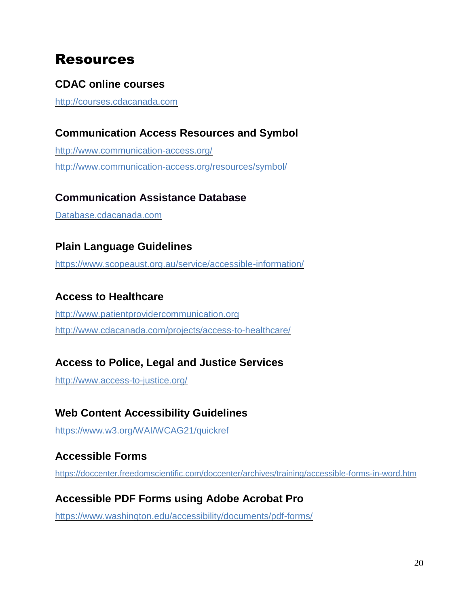## <span id="page-19-0"></span>Resources

### **CDAC online courses**

[http://courses.cdacanada.com](http://courses.cdacanada.com/)

### **Communication Access Resources and Symbol**

<http://www.communication-access.org/> <http://www.communication-access.org/resources/symbol/>

### **Communication Assistance Database**

Database.cdacanada.com

### **Plain Language Guidelines**

<https://www.scopeaust.org.au/service/accessible-information/>

### **Access to Healthcare**

[http://www.patientprovidercommunication.org](http://www.patientprovidercommunication.org/)  <http://www.cdacanada.com/projects/access-to-healthcare/>

### **Access to Police, Legal and Justice Services**

<http://www.access-to-justice.org/>

### **Web Content Accessibility Guidelines**

<https://www.w3.org/WAI/WCAG21/quickref>

### **Accessible Forms**

<https://doccenter.freedomscientific.com/doccenter/archives/training/accessible-forms-in-word.htm>

### **Accessible PDF Forms using Adobe Acrobat Pro**

<https://www.washington.edu/accessibility/documents/pdf-forms/>